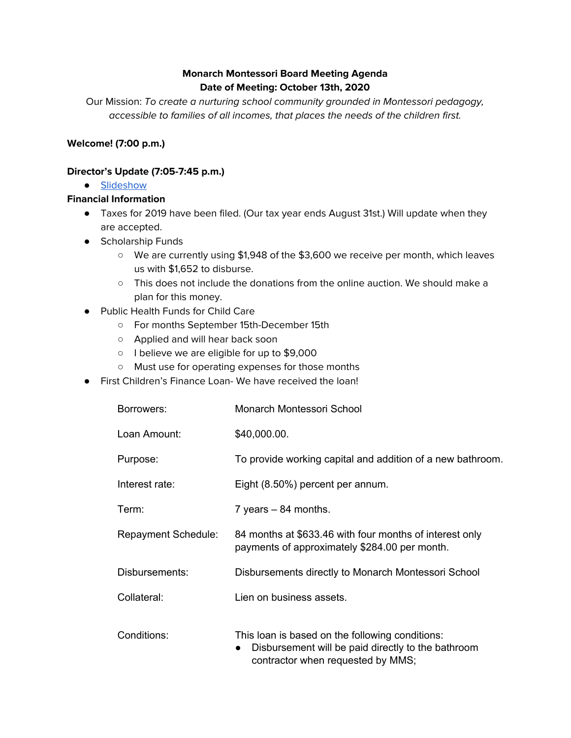# **Monarch Montessori Board Meeting Agenda Date of Meeting: October 13th, 2020**

Our Mission: To create a nurturing school community grounded in Montessori pedagogy, accessible to families of all incomes, that places the needs of the children first.

## **Welcome! (7:00 p.m.)**

### **Director's Update (7:05-7:45 p.m.)**

● [Slideshow](https://docs.google.com/presentation/d/1hsuACqOVhVhc6bLhrJGt6Y90peKXCEojcuKBrOGOUY0/edit?usp=sharing)

#### **Financial Information**

- Taxes for 2019 have been filed. (Our tax year ends August 31st.) Will update when they are accepted.
- Scholarship Funds
	- We are currently using \$1,948 of the \$3,600 we receive per month, which leaves us with \$1,652 to disburse.
	- This does not include the donations from the online auction. We should make a plan for this money.
- Public Health Funds for Child Care
	- For months September 15th-December 15th
	- Applied and will hear back soon
	- I believe we are eligible for up to \$9,000
	- Must use for operating expenses for those months
- First Children's Finance Loan- We have received the loan!

| Borrowers:                 | Monarch Montessori School                                                                                                                  |
|----------------------------|--------------------------------------------------------------------------------------------------------------------------------------------|
| Loan Amount:               | \$40,000.00.                                                                                                                               |
| Purpose:                   | To provide working capital and addition of a new bathroom.                                                                                 |
| Interest rate:             | Eight (8.50%) percent per annum.                                                                                                           |
| Term:                      | 7 years $-84$ months.                                                                                                                      |
| <b>Repayment Schedule:</b> | 84 months at \$633.46 with four months of interest only<br>payments of approximately \$284.00 per month.                                   |
| Disbursements:             | Disbursements directly to Monarch Montessori School                                                                                        |
| Collateral:                | Lien on business assets.                                                                                                                   |
| Conditions:                | This loan is based on the following conditions:<br>Disbursement will be paid directly to the bathroom<br>contractor when requested by MMS; |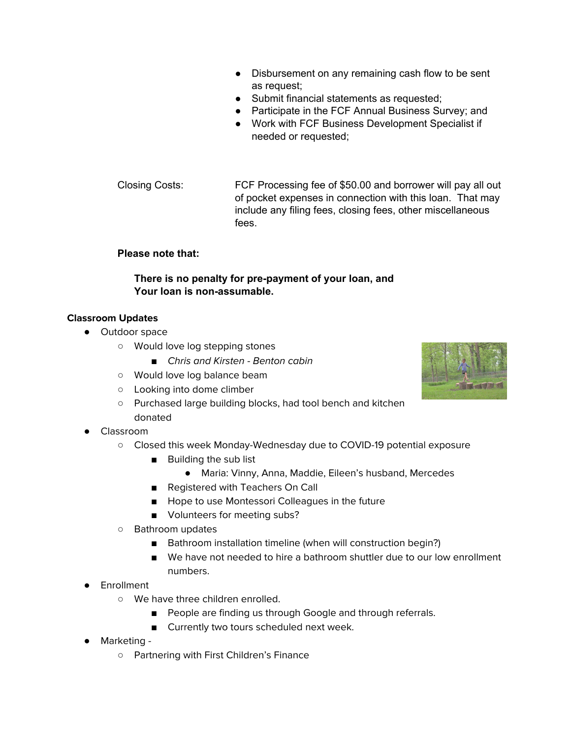- Disbursement on any remaining cash flow to be sent as request;
- Submit financial statements as requested;
- Participate in the FCF Annual Business Survey; and
- Work with FCF Business Development Specialist if needed or requested;
- Closing Costs: FCF Processing fee of \$50.00 and borrower will pay all out of pocket expenses in connection with this loan. That may include any filing fees, closing fees, other miscellaneous fees.

#### **Please note that:**

### **There is no penalty for pre-payment of your loan, and Your loan is non-assumable.**

#### **Classroom Updates**

- Outdoor space
	- Would love log stepping stones
		- *■* Chris and Kirsten Benton cabin
	- Would love log balance beam
	- Looking into dome climber
	- Purchased large building blocks, had tool bench and kitchen donated
- **Classroom** 
	- **○** Closed this week Monday-Wednesday due to COVID-19 potential exposure
		- Building the sub list
			- Maria: Vinny, Anna, Maddie, Eileen's husband, Mercedes
		- Registered with Teachers On Call
		- Hope to use Montessori Colleagues in the future
		- Volunteers for meeting subs?
	- **○** Bathroom updates
		- Bathroom installation timeline (when will construction begin?)
		- We have not needed to hire a bathroom shuttler due to our low enrollment numbers.
- Enrollment
	- We have three children enrolled.
		- People are finding us through Google and through referrals.
		- Currently two tours scheduled next week.
- Marketing
	- Partnering with First Children's Finance

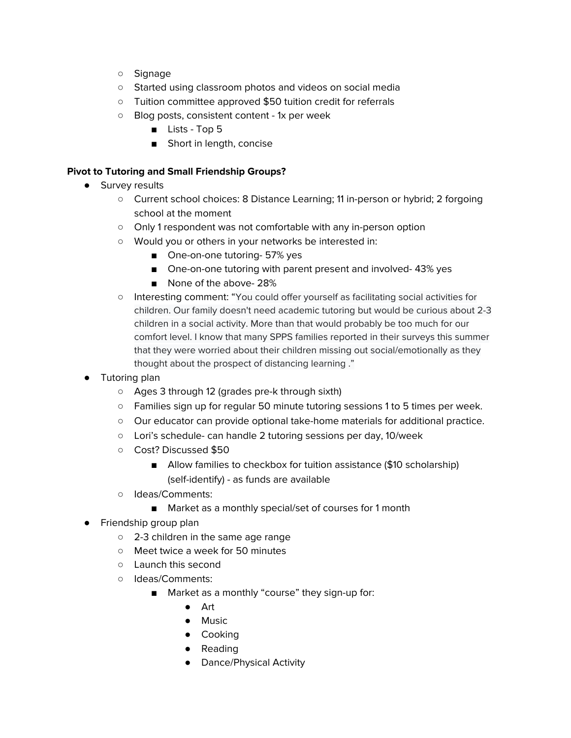- Signage
- Started using classroom photos and videos on social media
- Tuition committee approved \$50 tuition credit for referrals
- Blog posts, consistent content 1x per week
	- Lists Top 5
	- Short in length, concise

### **Pivot to Tutoring and Small Friendship Groups?**

- Survey results
	- Current school choices: 8 Distance Learning; 11 in-person or hybrid; 2 forgoing school at the moment
	- Only 1 respondent was not comfortable with any in-person option
	- Would you or others in your networks be interested in:
		- One-on-one tutoring- 57% yes
		- One-on-one tutoring with parent present and involved-43% yes
		- None of the above-28%
	- Interesting comment: "You could offer yourself as facilitating social activities for children. Our family doesn't need academic tutoring but would be curious about 2-3 children in a social activity. More than that would probably be too much for our comfort level. I know that many SPPS families reported in their surveys this summer that they were worried about their children missing out social/emotionally as they thought about the prospect of distancing learning ."
- Tutoring plan
	- Ages 3 through 12 (grades pre-k through sixth)
	- Families sign up for regular 50 minute tutoring sessions 1 to 5 times per week.
	- Our educator can provide optional take-home materials for additional practice.
	- Lori's schedule- can handle 2 tutoring sessions per day, 10/week
	- Cost? Discussed \$50
		- Allow families to checkbox for tuition assistance (\$10 scholarship) (self-identify) - as funds are available
	- Ideas/Comments:
		- Market as a monthly special/set of courses for 1 month
- Friendship group plan
	- 2-3 children in the same age range
	- Meet twice a week for 50 minutes
	- Launch this second
	- Ideas/Comments:
		- Market as a monthly "course" they sign-up for:
			- Art
			- Music
			- Cooking
			- Reading
			- Dance/Physical Activity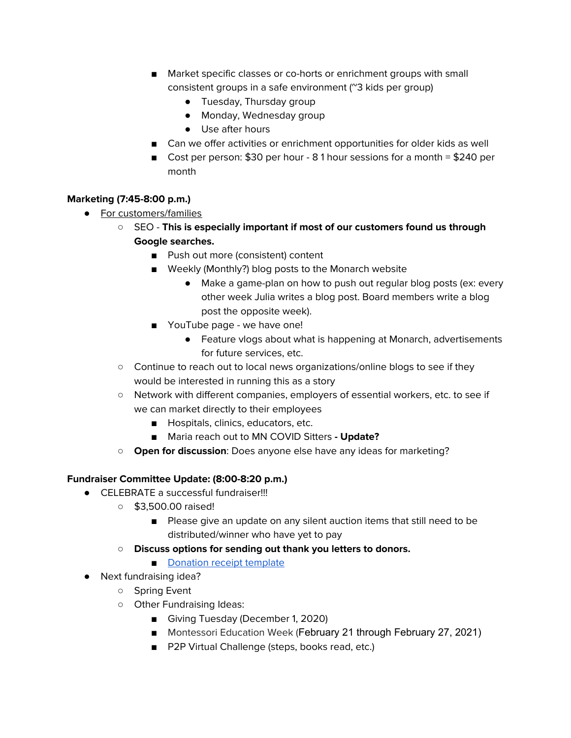- Market specific classes or co-horts or enrichment groups with small consistent groups in a safe environment (~3 kids per group)
	- Tuesday, Thursday group
	- Monday, Wednesday group
	- Use after hours
- Can we offer activities or enrichment opportunities for older kids as well
- Cost per person: \$30 per hour 8 1 hour sessions for a month = \$240 per month

# **Marketing (7:45-8:00 p.m.)**

- For customers/families
	- SEO **This is especially important if most of our customers found us through Google searches.**
		- Push out more (consistent) content
		- Weekly (Monthly?) blog posts to the Monarch website
			- Make a game-plan on how to push out regular blog posts (ex: every other week Julia writes a blog post. Board members write a blog post the opposite week).
		- YouTube page we have one!
			- Feature vlogs about what is happening at Monarch, advertisements for future services, etc.
	- Continue to reach out to local news organizations/online blogs to see if they would be interested in running this as a story
	- Network with different companies, employers of essential workers, etc. to see if we can market directly to their employees
		- Hospitals, clinics, educators, etc.
		- **■** Maria reach out to MN COVID Sitters **- Update?**
	- **Open for discussion**: Does anyone else have any ideas for marketing?

### **Fundraiser Committee Update: (8:00-8:20 p.m.)**

- **●** CELEBRATE a successful fundraiser!!!
	- \$3,500.00 raised!
		- Please give an update on any silent auction items that still need to be distributed/winner who have yet to pay
	- **○ Discuss options for sending out thank you letters to donors.**
		- [Donation](https://docs.google.com/document/d/1faFNE92u9ANZBMnnwf5ohYhbajsGCHwAQOnXSVH9--Q/edit) receipt template
- Next fundraising idea?
	- Spring Event
	- Other Fundraising Ideas:
		- Giving Tuesday (December 1, 2020)
		- Montessori Education Week (February 21 through February 27, 2021)
		- P2P Virtual Challenge (steps, books read, etc.)